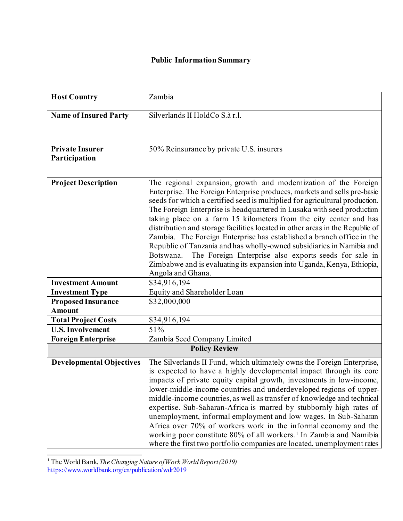| <b>Host Country</b>                        | Zambia                                                                                                                                                                                                                                                                                                                                                                                                                                                                                                                                                                                                                                                                                                                                                                            |  |
|--------------------------------------------|-----------------------------------------------------------------------------------------------------------------------------------------------------------------------------------------------------------------------------------------------------------------------------------------------------------------------------------------------------------------------------------------------------------------------------------------------------------------------------------------------------------------------------------------------------------------------------------------------------------------------------------------------------------------------------------------------------------------------------------------------------------------------------------|--|
| <b>Name of Insured Party</b>               | Silverlands II HoldCo S.à r.l.                                                                                                                                                                                                                                                                                                                                                                                                                                                                                                                                                                                                                                                                                                                                                    |  |
| <b>Private Insurer</b><br>Participation    | 50% Reinsurance by private U.S. insurers                                                                                                                                                                                                                                                                                                                                                                                                                                                                                                                                                                                                                                                                                                                                          |  |
| <b>Project Description</b>                 | The regional expansion, growth and modernization of the Foreign<br>Enterprise. The Foreign Enterprise produces, markets and sells pre-basic<br>seeds for which a certified seed is multiplied for agricultural production.<br>The Foreign Enterprise is headquartered in Lusaka with seed production<br>taking place on a farm 15 kilometers from the city center and has<br>distribution and storage facilities located in other areas in the Republic of<br>Zambia. The Foreign Enterprise has established a branch office in the<br>Republic of Tanzania and has wholly-owned subsidiaries in Namibia and<br>The Foreign Enterprise also exports seeds for sale in<br>Botswana.<br>Zimbabwe and is evaluating its expansion into Uganda, Kenya, Ethiopia,<br>Angola and Ghana. |  |
| <b>Investment Amount</b>                   | \$34,916,194                                                                                                                                                                                                                                                                                                                                                                                                                                                                                                                                                                                                                                                                                                                                                                      |  |
| <b>Investment Type</b>                     | Equity and Shareholder Loan                                                                                                                                                                                                                                                                                                                                                                                                                                                                                                                                                                                                                                                                                                                                                       |  |
| <b>Proposed Insurance</b><br><b>Amount</b> | \$32,000,000                                                                                                                                                                                                                                                                                                                                                                                                                                                                                                                                                                                                                                                                                                                                                                      |  |
| <b>Total Project Costs</b>                 | \$34,916,194                                                                                                                                                                                                                                                                                                                                                                                                                                                                                                                                                                                                                                                                                                                                                                      |  |
| <b>U.S. Involvement</b>                    | 51%                                                                                                                                                                                                                                                                                                                                                                                                                                                                                                                                                                                                                                                                                                                                                                               |  |
| <b>Foreign Enterprise</b>                  | Zambia Seed Company Limited                                                                                                                                                                                                                                                                                                                                                                                                                                                                                                                                                                                                                                                                                                                                                       |  |
| <b>Policy Review</b>                       |                                                                                                                                                                                                                                                                                                                                                                                                                                                                                                                                                                                                                                                                                                                                                                                   |  |
| <b>Developmental Objectives</b>            | The Silverlands II Fund, which ultimately owns the Foreign Enterprise,<br>is expected to have a highly developmental impact through its core<br>impacts of private equity capital growth, investments in low-income,<br>lower-middle-income countries and underdeveloped regions of upper-<br>middle-income countries, as well as transfer of knowledge and technical<br>expertise. Sub-Saharan-Africa is marred by stubbornly high rates of<br>unemployment, informal employment and low wages. In Sub-Saharan<br>Africa over 70% of workers work in the informal economy and the<br>working poor constitute 80% of all workers. <sup>1</sup> In Zambia and Namibia<br>where the first two portfolio companies are located, unemployment rates                                   |  |

<span id="page-0-0"></span><sup>1</sup> The World Bank, *The Changing Nature of Work World Report (2019)* <https://www.worldbank.org/en/publication/wdr2019>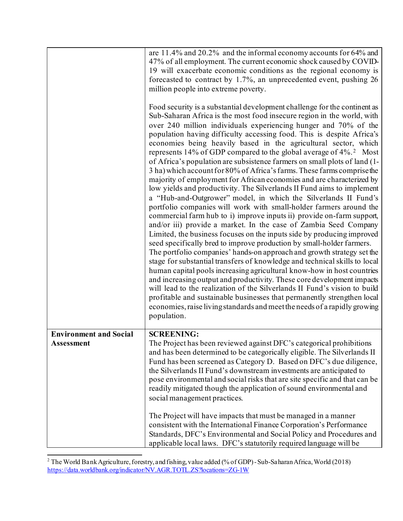|                                                    | are 11.4% and 20.2% and the informal economy accounts for 64% and<br>47% of all employment. The current economic shock caused by COVID-<br>19 will exacerbate economic conditions as the regional economy is<br>forecasted to contract by 1.7%, an unprecedented event, pushing 26<br>million people into extreme poverty.<br>Food security is a substantial development challenge for the continent as<br>Sub-Saharan Africa is the most food insecure region in the world, with<br>over 240 million individuals experiencing hunger and 70% of the<br>population having difficulty accessing food. This is despite Africa's<br>economies being heavily based in the agricultural sector, which<br>represents 14% of GDP compared to the global average of 4%. <sup>2</sup> Most<br>of Africa's population are subsistence farmers on small plots of land (1-<br>3 ha) which account for 80% of Africa's farms. These farms comprise the<br>majority of employment for African economies and are characterized by<br>low yields and productivity. The Silverlands II Fund aims to implement<br>a "Hub-and-Outgrower" model, in which the Silverlands II Fund's<br>portfolio companies will work with small-holder farmers around the<br>commercial farm hub to i) improve inputs ii) provide on-farm support,<br>and/or iii) provide a market. In the case of Zambia Seed Company<br>Limited, the business focuses on the inputs side by producing improved<br>seed specifically bred to improve production by small-holder farmers.<br>The portfolio companies' hands-on approach and growth strategy set the<br>stage for substantial transfers of knowledge and technical skills to local<br>human capital pools increasing agricultural know-how in host countries<br>and increasing output and productivity. These core development impacts<br>will lead to the realization of the Silverlands II Fund's vision to build<br>profitable and sustainable businesses that permanently strengthen local<br>economies, raise living standards and meet the needs of a rapidly growing<br>population. |
|----------------------------------------------------|-------------------------------------------------------------------------------------------------------------------------------------------------------------------------------------------------------------------------------------------------------------------------------------------------------------------------------------------------------------------------------------------------------------------------------------------------------------------------------------------------------------------------------------------------------------------------------------------------------------------------------------------------------------------------------------------------------------------------------------------------------------------------------------------------------------------------------------------------------------------------------------------------------------------------------------------------------------------------------------------------------------------------------------------------------------------------------------------------------------------------------------------------------------------------------------------------------------------------------------------------------------------------------------------------------------------------------------------------------------------------------------------------------------------------------------------------------------------------------------------------------------------------------------------------------------------------------------------------------------------------------------------------------------------------------------------------------------------------------------------------------------------------------------------------------------------------------------------------------------------------------------------------------------------------------------------------------------------------------------------------------------------------------------------------------------------------------------------------------|
| <b>Environment and Social</b><br><b>Assessment</b> | <b>SCREENING:</b><br>The Project has been reviewed against DFC's categorical prohibitions<br>and has been determined to be categorically eligible. The Silverlands II<br>Fund has been screened as Category D. Based on DFC's due diligence,<br>the Silverlands II Fund's downstream investments are anticipated to<br>pose environmental and social risks that are site specific and that can be<br>readily mitigated though the application of sound environmental and<br>social management practices.<br>The Project will have impacts that must be managed in a manner<br>consistent with the International Finance Corporation's Performance<br>Standards, DFC's Environmental and Social Policy and Procedures and<br>applicable local laws. DFC's statutorily required language will be                                                                                                                                                                                                                                                                                                                                                                                                                                                                                                                                                                                                                                                                                                                                                                                                                                                                                                                                                                                                                                                                                                                                                                                                                                                                                                        |

<span id="page-1-0"></span><sup>&</sup>lt;sup>2</sup> The World Bank Agriculture, forestry, and fishing, value added (% of GDP) - Sub-Saharan Africa, World (2018) <https://data.worldbank.org/indicator/NV.AGR.TOTL.ZS?locations=ZG-1W>